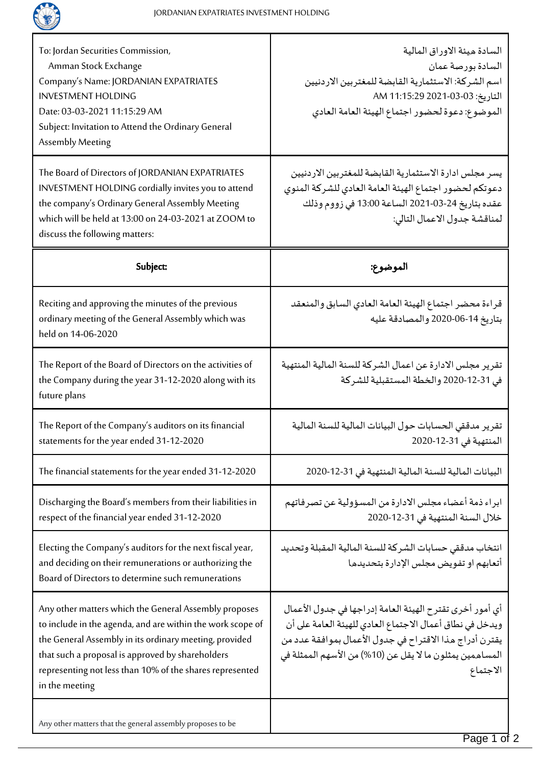

| To: Jordan Securities Commission,<br>Amman Stock Exchange<br>Company's Name: JORDANIAN EXPATRIATES<br><b>INVESTMENT HOLDING</b><br>Date: 03-03-2021 11:15:29 AM<br>Subject: Invitation to Attend the Ordinary General<br><b>Assembly Meeting</b>                                                                | السادة ميئة الاوراق المالية<br>السادة بورصة عمان<br>اسم الشركة: الاستثمارية القابضة للمغتربين الاردنيين<br>التاريخ: 03-03-2021 11:15:29 AM<br>الموضوع: دعوة لحضور اجتماع الهيئة العامة العادي                                                           |
|-----------------------------------------------------------------------------------------------------------------------------------------------------------------------------------------------------------------------------------------------------------------------------------------------------------------|---------------------------------------------------------------------------------------------------------------------------------------------------------------------------------------------------------------------------------------------------------|
| The Board of Directors of JORDANIAN EXPATRIATES<br>INVESTMENT HOLDING cordially invites you to attend<br>the company's Ordinary General Assembly Meeting<br>which will be held at 13:00 on 24-03-2021 at ZOOM to<br>discuss the following matters:                                                              | يسر مجلس ادارة الاستثمارية القابضة للمغتربين الاردنيين<br>دعوتكم لحضور اجتماع الهيئة العامة العادي للشركة المنوي<br>عقده بتاريخ 24-03-2021 الساعة 13:00 في زووم وذلك<br>لمناقشة جدول الاعمال التالي:                                                    |
| Subject:                                                                                                                                                                                                                                                                                                        | الموضوع:                                                                                                                                                                                                                                                |
| Reciting and approving the minutes of the previous<br>ordinary meeting of the General Assembly which was<br>held on 14-06-2020                                                                                                                                                                                  | قراءة محضر اجتماع الهيئة العامة العادي السابق والمنعقد<br>بتاريخ 14-06-2020 والمصادقة عليه                                                                                                                                                              |
| The Report of the Board of Directors on the activities of<br>the Company during the year 31-12-2020 along with its<br>future plans                                                                                                                                                                              | تقرير مجلس الادارة عن اعمال الشركة للسنة المالية المنتهية<br>في 31-12-2020 والخطة المستقبلية للشركة                                                                                                                                                     |
| The Report of the Company's auditors on its financial<br>statements for the year ended 31-12-2020                                                                                                                                                                                                               | تقرير مدققي الحسابات حول البيانات المالية للسنة المالية<br>المنتهية في 31-12-2020                                                                                                                                                                       |
| The financial statements for the year ended 31-12-2020                                                                                                                                                                                                                                                          | البيانات المالية للسنة المالية المنتهية في 31-12-2020                                                                                                                                                                                                   |
| Discharging the Board's members from their liabilities in<br>respect of the financial year ended 31-12-2020                                                                                                                                                                                                     | ابراء ذمة أعضاء مجلس الادارة من المسؤولية عن تصرفاتهم<br>خلال السنة المنتهية في 31-12-2020                                                                                                                                                              |
| Electing the Company's auditors for the next fiscal year,<br>and deciding on their remunerations or authorizing the<br>Board of Directors to determine such remunerations                                                                                                                                       | انتخاب مدققي حسابات الشركة للسنة المالية المقبلة وتحديد<br>أتعابهم او تفويض مجلس الإدارة بتحديدها                                                                                                                                                       |
| Any other matters which the General Assembly proposes<br>to include in the agenda, and are within the work scope of<br>the General Assembly in its ordinary meeting, provided<br>that such a proposal is approved by shareholders<br>representing not less than 10% of the shares represented<br>in the meeting | أى أمور أخرى تقترح الهيئة العامة إدراجها في جدول الأعمال<br>ويدخل في نطاق أعمال الاجتماع العادي للهيئة العامة على أن<br>يقترن أدراج مذا الاقتراح في جدول الأعمال بموافقة عدد من<br>المساهمين يمثلون ما لا يقل عن (10%) من الأسهم الممثلة في<br>الاجتماع |
| Any other matters that the general assembly proposes to be                                                                                                                                                                                                                                                      |                                                                                                                                                                                                                                                         |